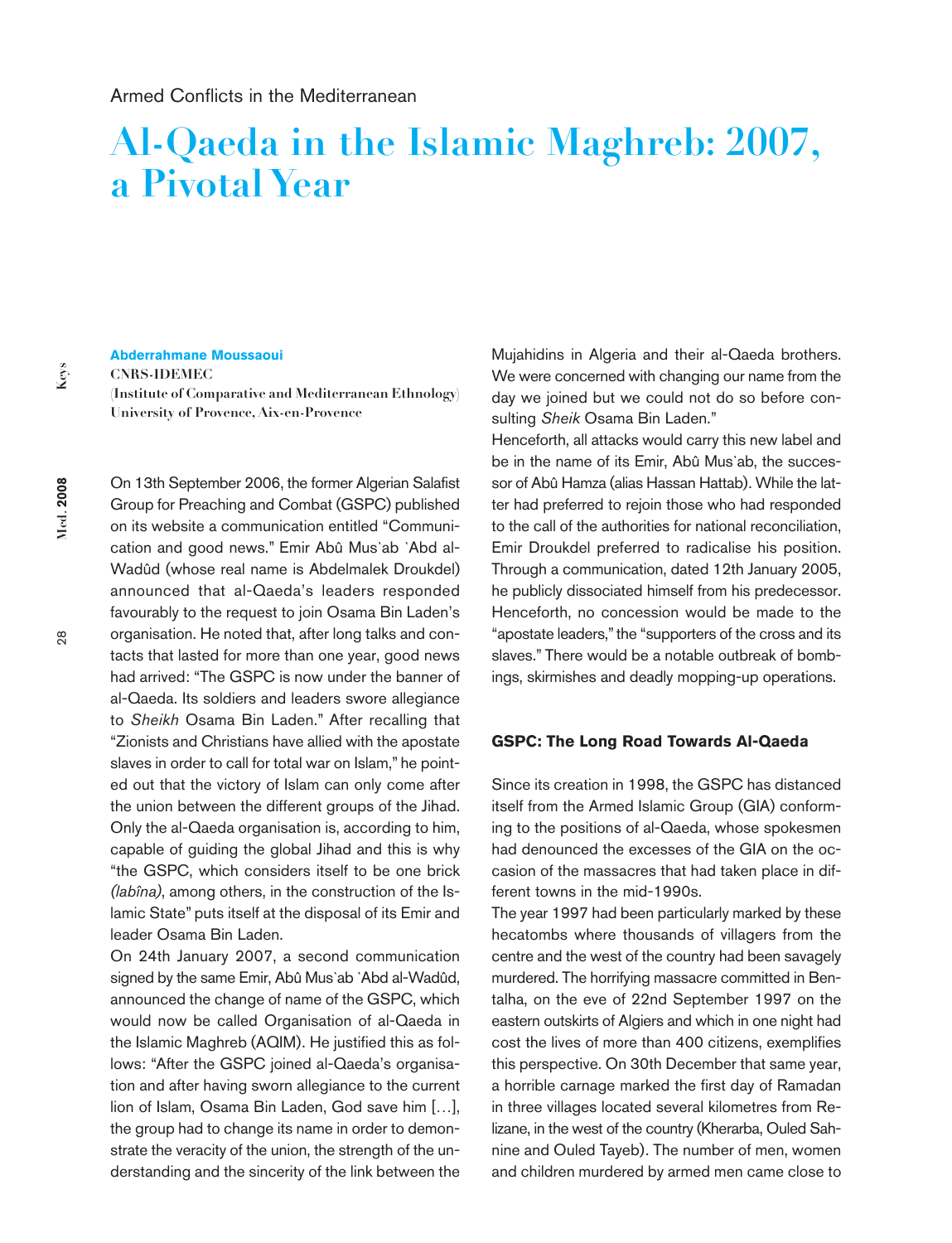# **Al-Qaeda in the Islamic Maghreb: 2007, a Pivotal Year**

**Abderrahmane Moussaoui**

**CNRS-IDEMEC**

**(Institute of Comparative and Mediterranean Ethnology) University of Provence, Aix-en-Provence**

On 13th September 2006, the former Algerian Salafist Group for Preaching and Combat (GSPC) published on its website a communication entitled "Communication and good news." Emir Abû Mus`ab `Abd al-Wadûd (whose real name is Abdelmalek Droukdel) announced that al-Qaeda's leaders responded favourably to the request to join Osama Bin Laden's organisation. He noted that, after long talks and contacts that lasted for more than one year, good news had arrived: "The GSPC is now under the banner of al-Qaeda. Its soldiers and leaders swore allegiance to *Sheikh* Osama Bin Laden." After recalling that "Zionists and Christians have allied with the apostate slaves in order to call for total war on Islam," he pointed out that the victory of Islam can only come after the union between the different groups of the Jihad. Only the al-Qaeda organisation is, according to him, capable of guiding the global Jihad and this is why "the GSPC, which considers itself to be one brick *(labîna)*, among others, in the construction of the Islamic State" puts itself at the disposal of its Emir and leader Osama Bin Laden.

On 24th January 2007, a second communication signed by the same Emir, Abû Mus`ab `Abd al-Wadûd, announced the change of name of the GSPC, which would now be called Organisation of al-Qaeda in the Islamic Maghreb (AQIM). He justified this as follows: "After the GSPC joined al-Qaeda's organisation and after having sworn allegiance to the current lion of Islam, Osama Bin Laden, God save him […], the group had to change its name in order to demonstrate the veracity of the union, the strength of the understanding and the sincerity of the link between the

Mujahidins in Algeria and their al-Qaeda brothers. We were concerned with changing our name from the day we joined but we could not do so before consulting *Sheik* Osama Bin Laden."

Henceforth, all attacks would carry this new label and be in the name of its Emir, Abû Mus`ab, the successor of Abû Hamza (alias Hassan Hattab). While the latter had preferred to rejoin those who had responded to the call of the authorities for national reconciliation, Emir Droukdel preferred to radicalise his position. Through a communication, dated 12th January 2005, he publicly dissociated himself from his predecessor. Henceforth, no concession would be made to the "apostate leaders," the "supporters of the cross and its slaves." There would be a notable outbreak of bombings, skirmishes and deadly mopping-up operations.

#### **GSPC: The Long Road Towards Al-Qaeda**

Since its creation in 1998, the GSPC has distanced itself from the Armed Islamic Group (GIA) conforming to the positions of al-Qaeda, whose spokesmen had denounced the excesses of the GIA on the occasion of the massacres that had taken place in different towns in the mid-1990s.

The year 1997 had been particularly marked by these hecatombs where thousands of villagers from the centre and the west of the country had been savagely murdered. The horrifying massacre committed in Bentalha, on the eve of 22nd September 1997 on the eastern outskirts of Algiers and which in one night had cost the lives of more than 400 citizens, exemplifies this perspective. On 30th December that same year, a horrible carnage marked the first day of Ramadan in three villages located several kilometres from Relizane, in the west of the country (Kherarba, Ouled Sahnine and Ouled Tayeb). The number of men, women and children murdered by armed men came close to

**Med. 2008**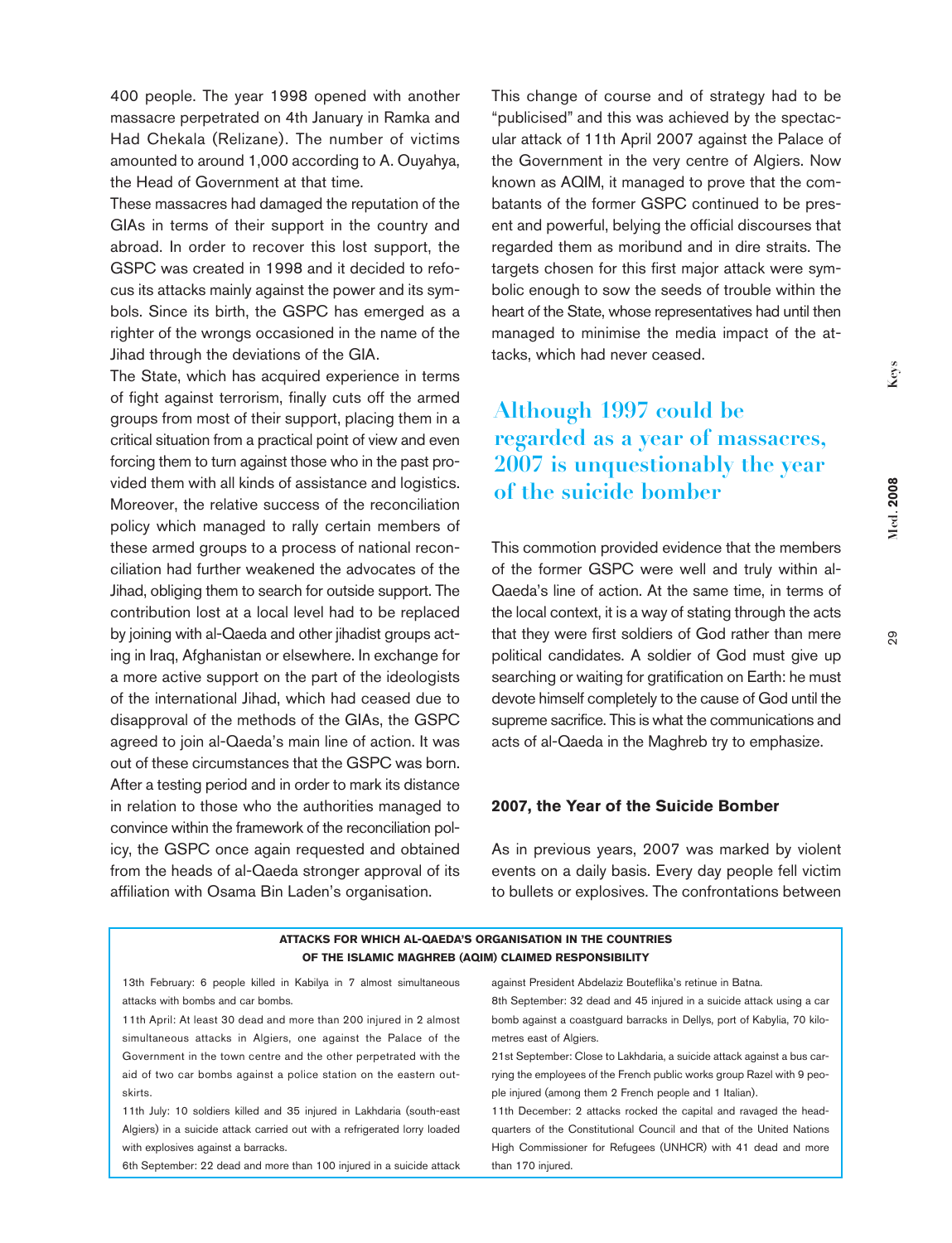400 people. The year 1998 opened with another massacre perpetrated on 4th January in Ramka and Had Chekala (Relizane). The number of victims amounted to around 1,000 according to A. Ouyahya, the Head of Government at that time.

These massacres had damaged the reputation of the GIAs in terms of their support in the country and abroad. In order to recover this lost support, the GSPC was created in 1998 and it decided to refocus its attacks mainly against the power and its symbols. Since its birth, the GSPC has emerged as a righter of the wrongs occasioned in the name of the Jihad through the deviations of the GIA.

The State, which has acquired experience in terms of fight against terrorism, finally cuts off the armed groups from most of their support, placing them in a critical situation from a practical point of view and even forcing them to turn against those who in the past provided them with all kinds of assistance and logistics. Moreover, the relative success of the reconciliation policy which managed to rally certain members of these armed groups to a process of national reconciliation had further weakened the advocates of the Jihad, obliging them to search for outside support. The contribution lost at a local level had to be replaced by joining with al-Qaeda and other jihadist groups acting in Iraq, Afghanistan or elsewhere. In exchange for a more active support on the part of the ideologists of the international Jihad, which had ceased due to disapproval of the methods of the GIAs, the GSPC agreed to join al-Qaeda's main line of action. It was out of these circumstances that the GSPC was born. After a testing period and in order to mark its distance in relation to those who the authorities managed to convince within the framework of the reconciliation policy, the GSPC once again requested and obtained from the heads of al-Qaeda stronger approval of its affiliation with Osama Bin Laden's organisation.

This change of course and of strategy had to be "publicised" and this was achieved by the spectacular attack of 11th April 2007 against the Palace of the Government in the very centre of Algiers. Now known as AQIM, it managed to prove that the combatants of the former GSPC continued to be present and powerful, belying the official discourses that regarded them as moribund and in dire straits. The targets chosen for this first major attack were symbolic enough to sow the seeds of trouble within the heart of the State, whose representatives had until then managed to minimise the media impact of the attacks, which had never ceased.

# **Although 1997 could be regarded as a year of massacres, 2007 is unquestionably the year of the suicide bomber**

This commotion provided evidence that the members of the former GSPC were well and truly within al-Qaeda's line of action. At the same time, in terms of the local context, it is a way of stating through the acts that they were first soldiers of God rather than mere political candidates. A soldier of God must give up searching or waiting for gratification on Earth: he must devote himself completely to the cause of God until the supreme sacrifice. This is what the communications and acts of al-Qaeda in the Maghreb try to emphasize.

#### **2007, the Year of the Suicide Bomber**

As in previous years, 2007 was marked by violent events on a daily basis. Every day people fell victim to bullets or explosives. The confrontations between

#### **ATTACKS FOR WHICH AL-QAEDA'S ORGANISATION IN THE COUNTRIES OF THE ISLAMIC MAGHREB (AQIM) CLAIMED RESPONSIBILITY**

13th February: 6 people killed in Kabilya in 7 almost simultaneous attacks with bombs and car bombs.

11th April: At least 30 dead and more than 200 injured in 2 almost simultaneous attacks in Algiers, one against the Palace of the Government in the town centre and the other perpetrated with the aid of two car bombs against a police station on the eastern outskirts.

11th July: 10 soldiers killed and 35 injured in Lakhdaria (south-east Algiers) in a suicide attack carried out with a refrigerated lorry loaded with explosives against a barracks.

6th September: 22 dead and more than 100 injured in a suicide attack

against President Abdelaziz Bouteflika's retinue in Batna.

8th September: 32 dead and 45 injured in a suicide attack using a car bomb against a coastguard barracks in Dellys, port of Kabylia, 70 kilometres east of Algiers.

21st September: Close to Lakhdaria, a suicide attack against a bus carrying the employees of the French public works group Razel with 9 people injured (among them 2 French people and 1 Italian).

11th December: 2 attacks rocked the capital and ravaged the headquarters of the Constitutional Council and that of the United Nations High Commissioner for Refugees (UNHCR) with 41 dead and more than 170 injured.

**Med. 2008**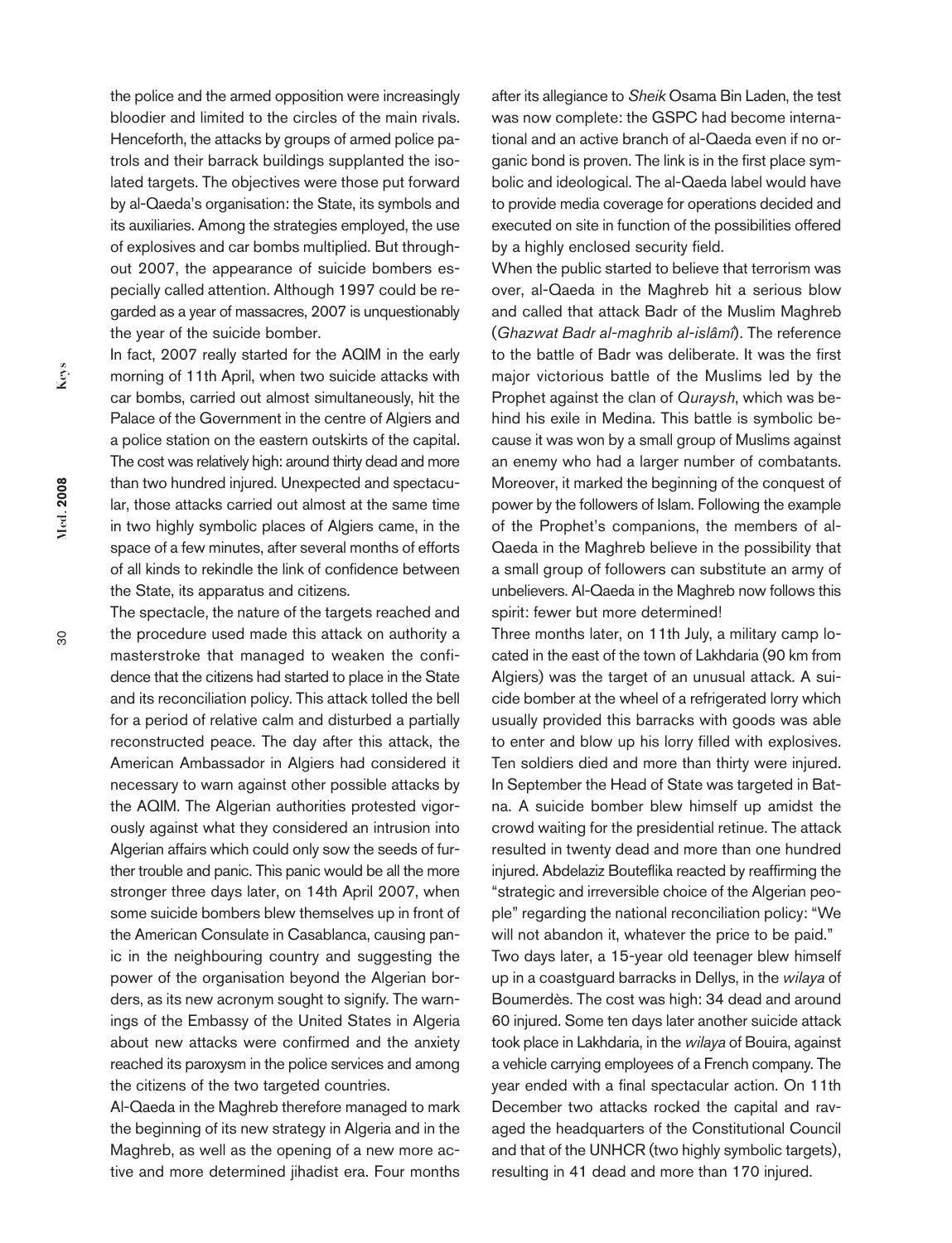the police and the armed opposition were increasingly bloodier and limited to the circles of the main rivals. Henceforth, the attacks by groups of armed police patrols and their barrack buildings supplanted the isolated targets. The objectives were those put forward by al-Qaeda's organisation: the State, its symbols and its auxiliaries. Among the strategies employed, the use of explosives and car bombs multiplied. But throughout 2007, the appearance of suicide bombers especially called attention. Although 1997 could be regarded as a year of massacres, 2007 is unquestionably the year of the suicide bomber.

In fact, 2007 really started for the AQIM in the early morning of 11th April, when two suicide attacks with car bombs, carried out almost simultaneously, hit the Palace of the Government in the centre of Algiers and a police station on the eastern outskirts of the capital. The cost was relatively high: around thirty dead and more than two hundred injured. Unexpected and spectacular, those attacks carried out almost at the same time in two highly symbolic places of Algiers came, in the space of a few minutes, after several months of efforts of all kinds to rekindle the link of confidence between the State, its apparatus and citizens.

The spectacle, the nature of the targets reached and the procedure used made this attack on authority a masterstroke that managed to weaken the confidence that the citizens had started to place in the State and its reconciliation policy. This attack tolled the bell for a period of relative calm and disturbed a partially reconstructed peace. The day after this attack, the American Ambassador in Algiers had considered it necessary to warn against other possible attacks by the AQIM. The Algerian authorities protested vigorously against what they considered an intrusion into Algerian affairs which could only sow the seeds of further trouble and panic. This panic would be all the more stronger three days later, on 14th April 2007, when some suicide bombers blew themselves up in front of the American Consulate in Casablanca, causing panic in the neighbouring country and suggesting the power of the organisation beyond the Algerian borders, as its new acronym sought to signify. The warnings of the Embassy of the United States in Algeria about new attacks were confirmed and the anxiety reached its paroxysm in the police services and among the citizens of the two targeted countries.

Al-Qaeda in the Maghreb therefore managed to mark the beginning of its new strategy in Algeria and in the Maghreb, as well as the opening of a new more active and more determined jihadist era. Four months after its allegiance to *Sheik* Osama Bin Laden, the test was now complete: the GSPC had become international and an active branch of al-Qaeda even if no organic bond is proven. The link is in the first place symbolic and ideological. The al-Qaeda label would have to provide media coverage for operations decided and executed on site in function of the possibilities offered by a highly enclosed security field.

When the public started to believe that terrorism was over, al-Qaeda in the Maghreb hit a serious blow and called that attack Badr of the Muslim Maghreb (*Ghazwat Badr al-maghrib al-islâmî*). The reference to the battle of Badr was deliberate. It was the first major victorious battle of the Muslims led by the Prophet against the clan of *Quraysh*, which was behind his exile in Medina. This battle is symbolic because it was won by a small group of Muslims against an enemy who had a larger number of combatants. Moreover, it marked the beginning of the conquest of power by the followers of Islam. Following the example of the Prophet's companions, the members of al-Qaeda in the Maghreb believe in the possibility that a small group of followers can substitute an army of unbelievers. Al-Qaeda in the Maghreb now follows this spirit: fewer but more determined!

Three months later, on 11th July, a military camp located in the east of the town of Lakhdaria (90 km from Algiers) was the target of an unusual attack. A suicide bomber at the wheel of a refrigerated lorry which usually provided this barracks with goods was able to enter and blow up his lorry filled with explosives. Ten soldiers died and more than thirty were injured. In September the Head of State was targeted in Batna. A suicide bomber blew himself up amidst the crowd waiting for the presidential retinue. The attack resulted in twenty dead and more than one hundred injured. Abdelaziz Bouteflika reacted by reaffirming the "strategic and irreversible choice of the Algerian people" regarding the national reconciliation policy: "We will not abandon it, whatever the price to be paid." Two days later, a 15-year old teenager blew himself

up in a coastguard barracks in Dellys, in the *wilaya* of Boumerdès. The cost was high: 34 dead and around 60 injured. Some ten days later another suicide attack took place in Lakhdaria, in the *wilaya* of Bouira, against a vehicle carrying employees of a French company. The year ended with a final spectacular action. On 11th December two attacks rocked the capital and ravaged the headquarters of the Constitutional Council and that of the UNHCR (two highly symbolic targets), resulting in 41 dead and more than 170 injured.

**Med. 2008**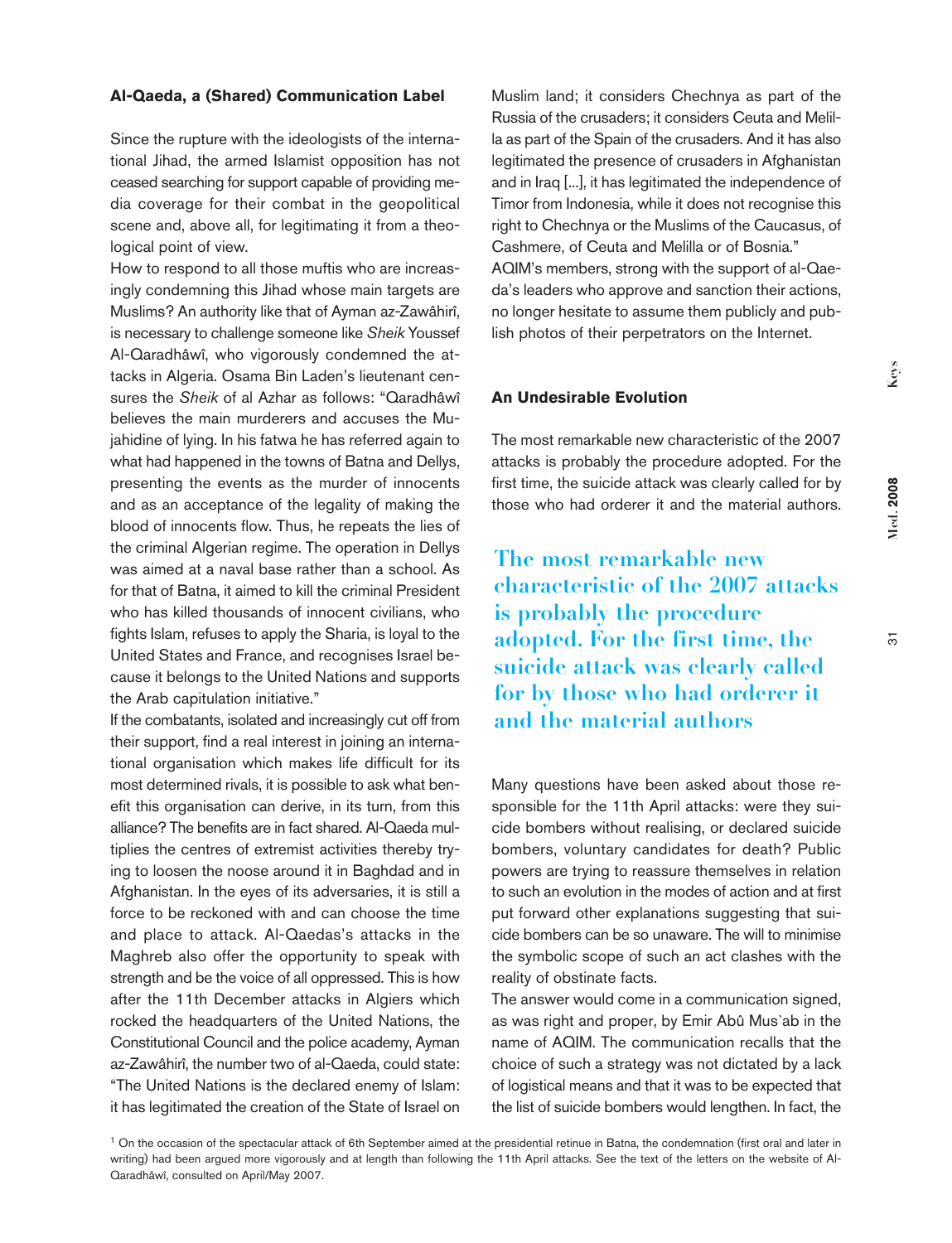#### **Al-Qaeda, a (Shared) Communication Label**

Since the rupture with the ideologists of the international Jihad, the armed Islamist opposition has not ceased searching for support capable of providing media coverage for their combat in the geopolitical scene and, above all, for legitimating it from a theological point of view.

How to respond to all those muftis who are increasingly condemning this Jihad whose main targets are Muslims? An authority like that of Ayman az-Zawâhirî, is necessary to challenge someone like *Sheik* Youssef Al-Qaradhâwî, who vigorously condemned the attacks in Algeria. Osama Bin Laden's lieutenant censures the *Sheik* of al Azhar as follows: "Qaradhâwî believes the main murderers and accuses the Mujahidine of lying. In his fatwa he has referred again to what had happened in the towns of Batna and Dellys, presenting the events as the murder of innocents and as an acceptance of the legality of making the blood of innocents flow. Thus, he repeats the lies of the criminal Algerian regime. The operation in Dellys was aimed at a naval base rather than a school. As for that of Batna, it aimed to kill the criminal President who has killed thousands of innocent civilians, who fights Islam, refuses to apply the Sharia, is loyal to the United States and France, and recognises Israel because it belongs to the United Nations and supports the Arab capitulation initiative."

If the combatants, isolated and increasingly cut off from their support, find a real interest in joining an international organisation which makes life difficult for its most determined rivals, it is possible to ask what benefit this organisation can derive, in its turn, from this alliance? The benefits are in fact shared. Al-Qaeda multiplies the centres of extremist activities thereby trying to loosen the noose around it in Baghdad and in Afghanistan. In the eyes of its adversaries, it is still a force to be reckoned with and can choose the time and place to attack. Al-Qaedas's attacks in the Maghreb also offer the opportunity to speak with strength and be the voice of all oppressed. This is how after the 11th December attacks in Algiers which rocked the headquarters of the United Nations, the Constitutional Council and the police academy, Ayman az-Zawâhirî, the number two of al-Qaeda, could state: "The United Nations is the declared enemy of Islam: it has legitimated the creation of the State of Israel on

Muslim land; it considers Chechnya as part of the Russia of the crusaders; it considers Ceuta and Melilla as part of the Spain of the crusaders. And it has also legitimated the presence of crusaders in Afghanistan and in Iraq [...], it has legitimated the independence of Timor from Indonesia, while it does not recognise this right to Chechnya or the Muslims of the Caucasus, of Cashmere, of Ceuta and Melilla or of Bosnia." AQIM's members, strong with the support of al-Qaeda's leaders who approve and sanction their actions, no longer hesitate to assume them publicly and publish photos of their perpetrators on the Internet.

### **An Undesirable Evolution**

The most remarkable new characteristic of the 2007 attacks is probably the procedure adopted. For the first time, the suicide attack was clearly called for by those who had orderer it and the material authors.

**The most remarkable new characteristic of the 2007 attacks is probably the procedure adopted. For the first time, the suicide attack was clearly called for by those who had orderer it and the material authors**

Many questions have been asked about those responsible for the 11th April attacks: were they suicide bombers without realising, or declared suicide bombers, voluntary candidates for death? Public powers are trying to reassure themselves in relation to such an evolution in the modes of action and at first put forward other explanations suggesting that suicide bombers can be so unaware. The will to minimise the symbolic scope of such an act clashes with the reality of obstinate facts.

The answer would come in a communication signed, as was right and proper, by Emir Abû Mus`ab in the name of AQIM. The communication recalls that the choice of such a strategy was not dictated by a lack of logistical means and that it was to be expected that the list of suicide bombers would lengthen. In fact, the

<sup>1</sup> On the occasion of the spectacular attack of 6th September aimed at the presidential retinue in Batna, the condemnation (first oral and later in writing) had been argued more vigorously and at length than following the 11th April attacks. See the text of the letters on the website of Al-Qaradhâwî, consulted on April/May 2007.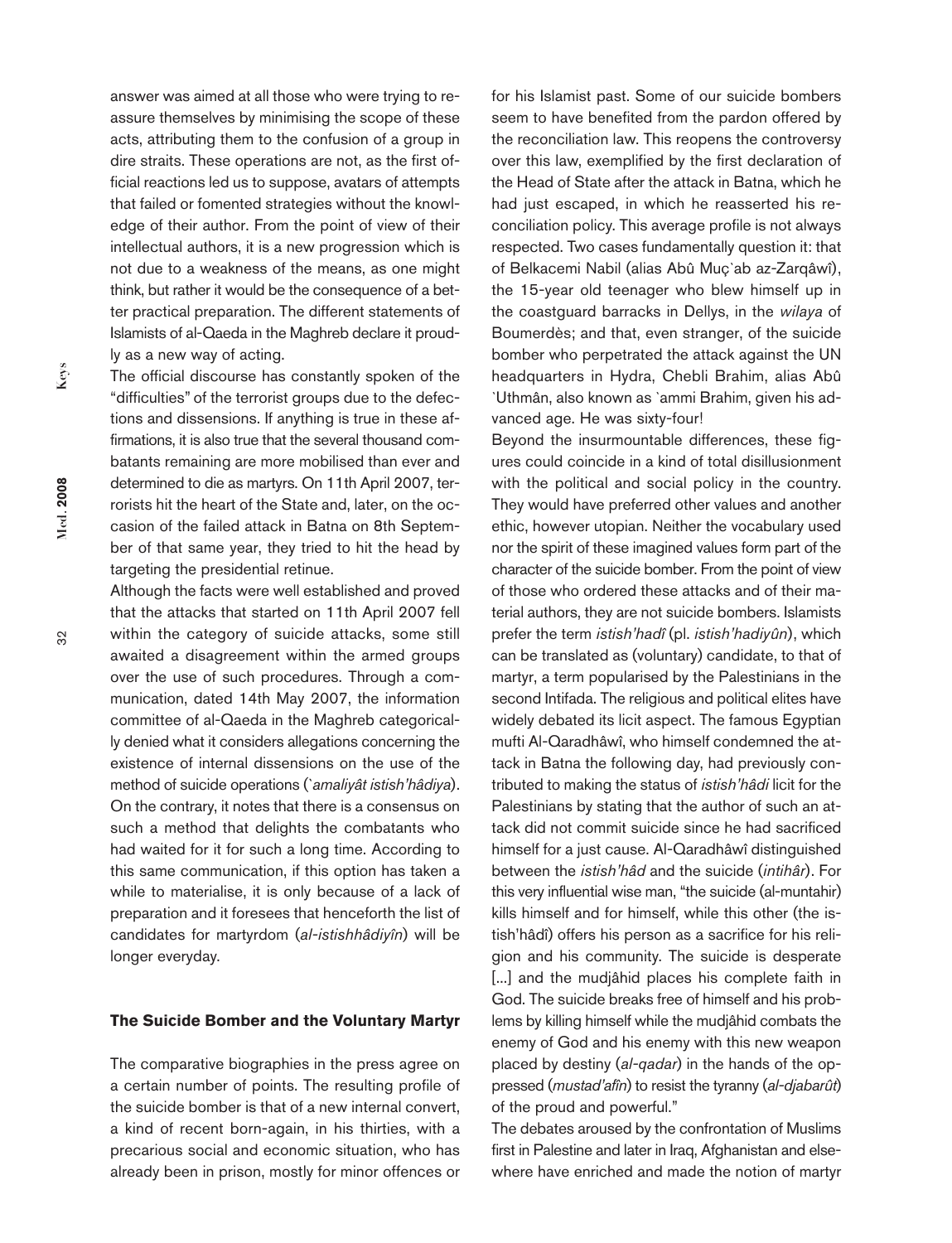answer was aimed at all those who were trying to reassure themselves by minimising the scope of these acts, attributing them to the confusion of a group in dire straits. These operations are not, as the first official reactions led us to suppose, avatars of attempts that failed or fomented strategies without the knowledge of their author. From the point of view of their intellectual authors, it is a new progression which is not due to a weakness of the means, as one might think, but rather it would be the consequence of a better practical preparation. The different statements of Islamists of al-Qaeda in the Maghreb declare it proudly as a new way of acting.

The official discourse has constantly spoken of the "difficulties" of the terrorist groups due to the defections and dissensions. If anything is true in these affirmations, it is also true that the several thousand combatants remaining are more mobilised than ever and determined to die as martyrs. On 11th April 2007, terrorists hit the heart of the State and, later, on the occasion of the failed attack in Batna on 8th September of that same year, they tried to hit the head by targeting the presidential retinue.

Although the facts were well established and proved that the attacks that started on 11th April 2007 fell within the category of suicide attacks, some still awaited a disagreement within the armed groups over the use of such procedures. Through a communication, dated 14th May 2007, the information committee of al-Qaeda in the Maghreb categorically denied what it considers allegations concerning the existence of internal dissensions on the use of the method of suicide operations (*`amaliyât istish'hâdiya*). On the contrary, it notes that there is a consensus on such a method that delights the combatants who had waited for it for such a long time. According to this same communication, if this option has taken a while to materialise, it is only because of a lack of preparation and it foresees that henceforth the list of candidates for martyrdom (*al-istishhâdiyîn*) will be longer everyday.

## **The Suicide Bomber and the Voluntary Martyr**

The comparative biographies in the press agree on a certain number of points. The resulting profile of the suicide bomber is that of a new internal convert, a kind of recent born-again, in his thirties, with a precarious social and economic situation, who has already been in prison, mostly for minor offences or for his Islamist past. Some of our suicide bombers seem to have benefited from the pardon offered by the reconciliation law. This reopens the controversy over this law, exemplified by the first declaration of the Head of State after the attack in Batna, which he had just escaped, in which he reasserted his reconciliation policy. This average profile is not always respected. Two cases fundamentally question it: that of Belkacemi Nabil (alias Abû Muç`ab az-Zarqâwî), the 15-year old teenager who blew himself up in the coastguard barracks in Dellys, in the *wilaya* of Boumerdès; and that, even stranger, of the suicide bomber who perpetrated the attack against the UN headquarters in Hydra, Chebli Brahim, alias Abû `Uthmân, also known as `ammi Brahim, given his advanced age. He was sixty-four!

Beyond the insurmountable differences, these figures could coincide in a kind of total disillusionment with the political and social policy in the country. They would have preferred other values and another ethic, however utopian. Neither the vocabulary used nor the spirit of these imagined values form part of the character of the suicide bomber. From the point of view of those who ordered these attacks and of their material authors, they are not suicide bombers. Islamists prefer the term *istish'hadî* (pl. *istish'hadiyûn*), which can be translated as (voluntary) candidate, to that of martyr, a term popularised by the Palestinians in the second Intifada. The religious and political elites have widely debated its licit aspect. The famous Egyptian mufti Al-Qaradhâwî, who himself condemned the attack in Batna the following day, had previously contributed to making the status of *istish'hâdi* licit for the Palestinians by stating that the author of such an attack did not commit suicide since he had sacrificed himself for a just cause. Al-Qaradhâwî distinguished between the *istish'hâd* and the suicide (*intihâr*). For this very influential wise man, "the suicide (al-muntahir) kills himself and for himself, while this other (the istish'hâdî) offers his person as a sacrifice for his religion and his community. The suicide is desperate [...] and the mudjâhid places his complete faith in God. The suicide breaks free of himself and his problems by killing himself while the mudjâhid combats the enemy of God and his enemy with this new weapon placed by destiny (*al-qadar*) in the hands of the oppressed (*mustad'afîn*) to resist the tyranny (*al-djabarût*) of the proud and powerful."

The debates aroused by the confrontation of Muslims first in Palestine and later in Iraq, Afghanistan and elsewhere have enriched and made the notion of martyr